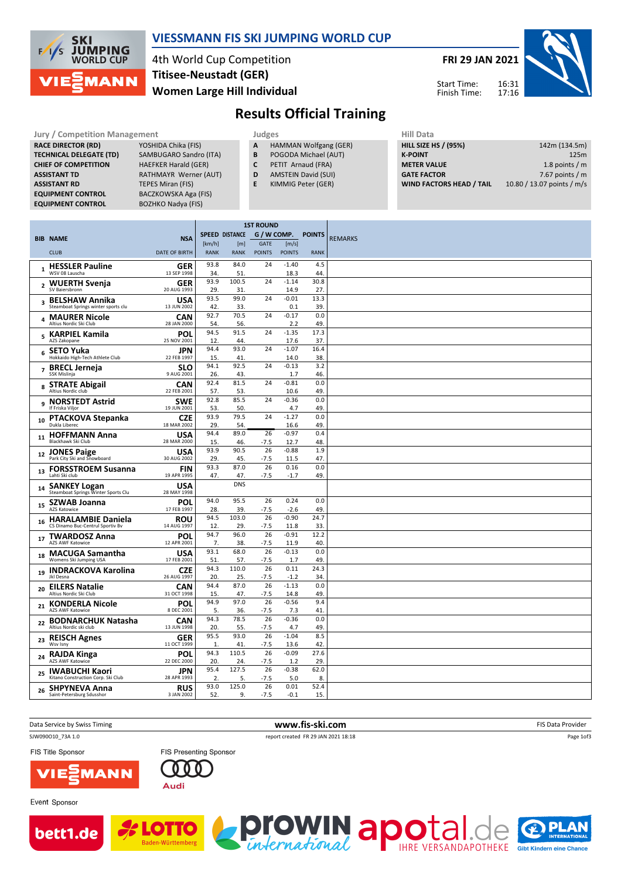

### VIESSMANN FIS SKI JUMPING WORLD CUP

4th World Cup Competition Women Large Hill Individual Titisee-Neustadt (GER)

FRI 29 JAN 2021

Start Time: Finish Time:



Results Official Training

| <b>Jury / Competition Management</b> |                             |   | Judges                       |  |                    |  |  |
|--------------------------------------|-----------------------------|---|------------------------------|--|--------------------|--|--|
| <b>RACE DIRECTOR (RD)</b>            | YOSHIDA Chika (FIS)         | A | <b>HAMMAN Wolfgang (GER)</b> |  | <b>HILL SIZE H</b> |  |  |
| <b>TECHNICAL DELEGATE (TD)</b>       | SAMBUGARO Sandro (ITA)      | B | POGODA Michael (AUT)         |  | <b>K-POINT</b>     |  |  |
| <b>CHIEF OF COMPETITION</b>          | <b>HAEFKER Harald (GER)</b> | C | PETIT Arnaud (FRA)           |  | <b>METER VA</b>    |  |  |
| <b>ASSISTANT TD</b>                  | RATHMAYR Werner (AUT)       | D | <b>AMSTEIN David (SUI)</b>   |  | <b>GATE FACT</b>   |  |  |
| <b>ASSISTANT RD</b>                  | <b>TEPES Miran (FIS)</b>    |   | KIMMIG Peter (GER)           |  | <b>WIND FAC</b>    |  |  |
| <b>EQUIPMENT CONTROL</b>             | BACZKOWSKA Aga (FIS)        |   |                              |  |                    |  |  |
|                                      |                             |   |                              |  |                    |  |  |

EQUIPMENT CONTROL BOZHKO Nadya (FIS)

- A HAMMAN Wolfgang (GER)
- **B** POGODA Michael (AUT)<br>**C** PETIT Arnaud (FRA)
- PETIT Arnaud (FRA)
- D AMSTEIN David (SUI)
- E KIMMIG Peter (GER)

| Hiii Data                       |                            |
|---------------------------------|----------------------------|
| <b>HILL SIZE HS / (95%)</b>     | 142m (134.5m)              |
| <b>K-POINT</b>                  | 125m                       |
| <b>METER VALUE</b>              | 1.8 points / $m$           |
| <b>GATE FACTOR</b>              | 7.67 points / $m$          |
| <b>WIND FACTORS HEAD / TAIL</b> | 10.80 / 13.07 points / m/s |

|                         |                                                             |                           |                       |              | <b>1ST ROUND</b> |                   |               |                |
|-------------------------|-------------------------------------------------------------|---------------------------|-----------------------|--------------|------------------|-------------------|---------------|----------------|
|                         | <b>BIB NAME</b>                                             | <b>NSA</b>                | <b>SPEED DISTANCE</b> |              | G / W COMP.      |                   | <b>POINTS</b> | <b>REMARKS</b> |
|                         |                                                             |                           | [km/h]                | [m]          | <b>GATE</b>      | [m/s]             |               |                |
|                         | <b>CLUB</b>                                                 | <b>DATE OF BIRTH</b>      | <b>RANK</b>           | <b>RANK</b>  | <b>POINTS</b>    | <b>POINTS</b>     | <b>RANK</b>   |                |
| $\mathbf{1}$            | <b>HESSLER Pauline</b>                                      | <b>GER</b>                | 93.8                  | 84.0         | 24               | $-1.40$           | 4.5           |                |
|                         | WSV 08 Lauscha                                              | 13 SEP 1998               | 34.                   | 51.          |                  | 18.3              | 44            |                |
|                         | 2 WUERTH Svenja<br>SV Baiersbronn                           | <b>GER</b><br>20 AUG 1993 | 93.9<br>29.           | 100.5<br>31. | 24               | $-1.14$<br>14.9   | 30.8<br>27.   |                |
|                         | <b>BELSHAW Annika</b>                                       | USA                       | 93.5                  | 99.0         | 24               | $-0.01$           | 13.3          |                |
| $\overline{\mathbf{3}}$ | Steamboat Springs winter sports clu                         | 13 JUN 2002               | 42.                   | 33.          |                  | 0.1               | 39            |                |
| 4                       | <b>MAURER Nicole</b>                                        | CAN                       | 92.7                  | 70.5         | 24               | $-0.17$           | 0.0           |                |
|                         | Altius Nordic Ski Club                                      | 28 JAN 2000               | 54.                   | 56.          |                  | 2.2               | 49            |                |
| 5                       | <b>KARPIEL Kamila</b><br>AZS Zakopane                       | POL                       | 94.5                  | 91.5         | 24               | $-1.35$           | 17.3          |                |
|                         |                                                             | 25 NOV 2001               | 12.<br>94.4           | 44.<br>93.0  | 24               | 17.6<br>$-1.07$   | 37<br>16.4    |                |
| 6                       | <b>SETO Yuka</b><br>Hokkaido High-Tech Athlete Club         | <b>JPN</b><br>22 FEB 1997 | 15.                   | 41.          |                  | 14.0              | 38            |                |
|                         | 7 BRECL Jerneja                                             | <b>SLO</b>                | 94.1                  | 92.5         | 24               | $-0.13$           | 3.2           |                |
|                         | SSK Mislinja                                                | 9 AUG 2001                | 26.                   | 43.          |                  | 1.7               | 46.           |                |
| 8                       | <b>STRATE Abigail</b><br>Altius Nordic club                 | CAN<br>22 FEB 2001        | 92.4<br>57.           | 81.5         | 24               | $-0.81$           | 0.0<br>49     |                |
|                         | <b>NORSTEDT Astrid</b>                                      | <b>SWE</b>                | 92.8                  | 53.<br>85.5  | 24               | 10.6<br>$-0.36$   | 0.0           |                |
| 9                       | If Friska Viljor                                            | 19 JUN 2001               | 53.                   | 50.          |                  | 4.7               | 49            |                |
| 10                      | <b>PTACKOVA Stepanka</b>                                    | <b>CZE</b>                | 93.9                  | 79.5         | 24               | $-1.27$           | 0.0           |                |
|                         | Dukla Liberec                                               | 18 MAR 2002               | 29.                   | 54.          |                  | 16.6              | 49            |                |
| 11                      | <b>HOFFMANN Anna</b><br>Blackhawk Ski Club                  | <b>USA</b><br>28 MAR 2000 | 94.4                  | 89.0         | 26<br>$-7.5$     | $-0.97$<br>12.7   | 0.4<br>48     |                |
|                         |                                                             | <b>USA</b>                | 15.<br>93.9           | 46.<br>90.5  | 26               | $-0.88$           | 1.9           |                |
|                         | 12 JONES Paige<br>Park City Ski and Snowboard               | 30 AUG 2002               | 29.                   | 45.          | $-7.5$           | 11.5              | 47            |                |
|                         | 13 FORSSTROEM Susanna                                       | <b>FIN</b>                | 93.3                  | 87.0         | 26               | 0.16              | 0.0           |                |
|                         | Lahti Ski club                                              | 19 APR 1995               | 47.                   | 47.          | $-7.5$           | $-1.7$            | 49.           |                |
| 14                      | <b>SANKEY Logan</b><br>Steamboat Springs Winter Sports Clu  | USA<br>28 MAY 1998        |                       | <b>DNS</b>   |                  |                   |               |                |
|                         | <b>SZWAB Joanna</b>                                         | POL                       | 94.0                  | 95.5         | 26               | 0.24              | 0.0           |                |
| 15                      | <b>AZS Katowice</b>                                         | 17 FEB 1997               | 28.                   | 39.          | $-7.5$           | $-2.6$            | 49            |                |
| 16                      | <b>HARALAMBIE Daniela</b>                                   | <b>ROU</b>                | 94.5                  | 103.0        | 26               | $-0.90$           | 24.7          |                |
|                         | CS Dinamo Buc-Centrul Sportiv Bv                            | 14 AUG 1997               | 12.<br>94.7           | 29.<br>96.0  | $-7.5$<br>26     | 11.8<br>$-0.91$   | 33<br>12.2    |                |
| 17                      | <b>TWARDOSZ Anna</b><br>AZS AWF Katowice                    | POL<br>12 APR 2001        | 7.                    | 38.          | $-7.5$           | 11.9              | 40            |                |
|                         | <b>MACUGA Samantha</b>                                      | USA                       | 93.1                  | 68.0         | 26               | $-0.13$           | 0.0           |                |
| 18                      | Womens Ski Jumping USA                                      | 17 FEB 2001               | 51.                   | 57.          | $-7.5$           | 1.7               | 49            |                |
| 19                      | <b>INDRACKOVA Karolina</b><br><b>Jkl Desna</b>              | <b>CZE</b><br>26 AUG 1997 | 94.3                  | 110.0        | 26               | 0.11              | 24.3          |                |
|                         |                                                             | CAN                       | 20.<br>94.4           | 25.<br>87.0  | $-7.5$<br>26     | $-1.2$<br>$-1.13$ | 34<br>0.0     |                |
| 20                      | <b>EILERS Natalie</b><br>Altius Nordic Ski Club             | 31 OCT 1998               | 15.                   | 47.          | $-7.5$           | 14.8              | 49            |                |
| 21                      | <b>KONDERLA Nicole</b>                                      | POL                       | 94.9                  | 97.0         | 26               | $-0.56$           | 9.4           |                |
|                         | <b>AZS AWF Katowice</b>                                     | 8 DEC 2001                | 5.                    | 36.          | $-7.5$           | 7.3               | 41            |                |
| 22                      | <b>BODNARCHUK Natasha</b><br>Altius Nordic ski club         | CAN<br>13 JUN 1998        | 94.3<br>20.           | 78.5<br>55.  | 26<br>-7.5       | $-0.36$<br>4.7    | 0.0<br>49     |                |
|                         | <b>REISCH Agnes</b>                                         | <b>GER</b>                | 95.5                  | 93.0         | 26               | $-1.04$           | 8.5           |                |
| 23                      | Wsv Isny                                                    | 11 OCT 1999               | 1.                    | 41.          | $-7.5$           | 13.6              | 42            |                |
| 24                      | <b>RAJDA Kinga</b><br>AZS AWF Katowice                      | POL                       | 94.3                  | 110.5        | 26               | $-0.09$           | 27.6          |                |
|                         |                                                             | 22 DEC 2000               | 20.<br>95.4           | 24.<br>127.5 | $-7.5$<br>26     | 1.2<br>$-0.38$    | 29<br>62.0    |                |
| 25                      | <b>IWABUCHI Kaori</b><br>Kitano Construction Corp. Ski Club | JPN<br>28 APR 1993        | 2.                    | 5.           | $-7.5$           | 5.0               | 8.            |                |
| 26                      | <b>SHPYNEVA Anna</b>                                        | <b>RUS</b>                | 93.0                  | 125.0        | 26               | 0.01              | 52.4          |                |
|                         | Saint-Petersburg Sdusshor                                   | 3 JAN 2002                | 52.                   | 9.           | $-7.5$           | $-0.1$            | 15.           |                |
|                         |                                                             |                           |                       |              |                  |                   |               |                |

| Data Service by Swiss Timing         | www.fis-ski.com                     | <b>FIS Data Provider</b> |
|--------------------------------------|-------------------------------------|--------------------------|
| SJW090O10 73A 1.0                    | report created FR 29 JAN 2021 18:18 | Page 1of3                |
| FIS Title Sponsor<br><b>VIESMANN</b> | <b>FIS Presenting Sponsor</b>       |                          |
| Event Sponsor                        | Audi                                |                          |

**Orowin apotal**.d



**A** LOTTO

Baden-Württemberg

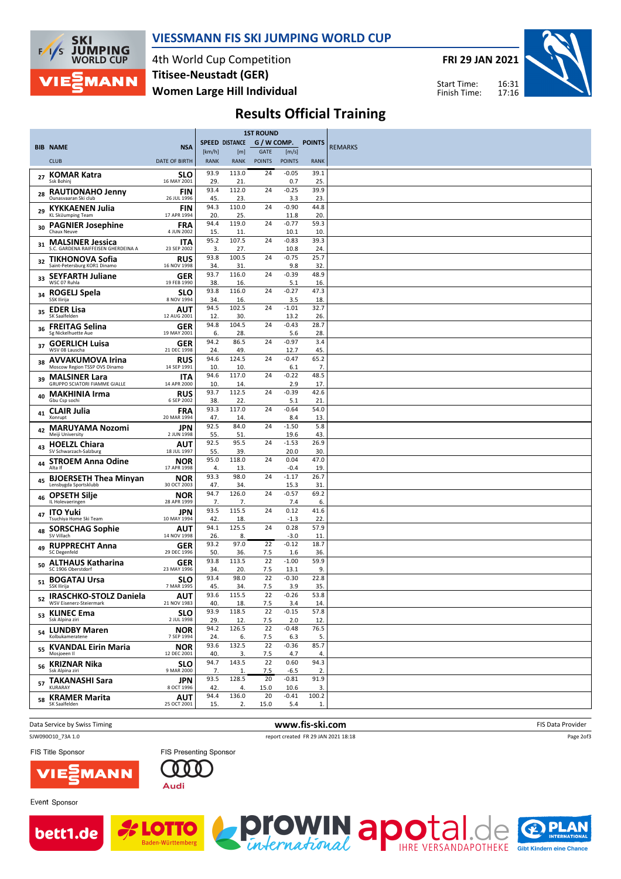

### VIESSMANN FIS SKI JUMPING WORLD CUP

4th World Cup Competition Women Large Hill Individual Titisee-Neustadt (GER)

FRI 29 JAN 2021





# Results Official Training

|    |                                                                |                           |             | <b>1ST ROUND</b> |               |                 |                         |                |
|----|----------------------------------------------------------------|---------------------------|-------------|------------------|---------------|-----------------|-------------------------|----------------|
|    | <b>BIB NAME</b>                                                | <b>NSA</b>                |             | SPEED DISTANCE   | G / W COMP.   |                 | <b>POINTS</b>           | <b>REMARKS</b> |
|    |                                                                |                           | [km/h]      | [m]              | <b>GATE</b>   | [m/s]           |                         |                |
|    | <b>CLUB</b>                                                    | <b>DATE OF BIRTH</b>      | <b>RANK</b> | <b>RANK</b>      | <b>POINTS</b> | <b>POINTS</b>   | <b>RANK</b>             |                |
| 27 | <b>KOMAR Katra</b><br>Ssk Bohinj                               | <b>SLO</b><br>16 MAY 2001 | 93.9<br>29. | 113.0<br>21      | 24            | $-0.05$<br>0.7  | 39.1<br>25.             |                |
| 28 | <b>RAUTIONAHO Jenny</b>                                        | <b>FIN</b>                | 93.4        | 112.0            | 24            | $-0.25$         | 39.9                    |                |
|    | Ounasvaaran Ski club                                           | 26 JUL 1996               | 45.<br>94.3 | 23<br>110.0      | 24            | 3.3<br>$-0.90$  | 23<br>44.8              |                |
| 29 | <b>KYKKAENEN Julia</b><br><b>KL SkiJumping Team</b>            | <b>FIN</b><br>17 APR 1994 | 20          | 25               |               | 11.8            | 20.                     |                |
| 30 | <b>PAGNIER Josephine</b><br>Chaux Neuve                        | <b>FRA</b><br>4 JUN 2002  | 94.4<br>15. | 119.0<br>11.     | 24            | $-0.77$<br>10.1 | 59.3<br>10 <sub>1</sub> |                |
| 31 | <b>MALSINER Jessica</b><br>S.C. GARDENA RAIFFEISEN GHERDEINA A | <b>ITA</b><br>23 SEP 2002 | 95.2<br>3.  | 107.5<br>27.     | 24            | $-0.83$<br>10.8 | 39.3<br>24.             |                |
| 32 | TIKHONOVA Sofia<br>Saint-Petersburg KOR1 Dinamo                | RUS<br>16 NOV 1998        | 93.8<br>34. | 100.5<br>31      | 24            | $-0.75$<br>9.8  | 25.7<br>32.             |                |
|    | 33 SEYFARTH Juliane<br>WSC 07 Ruhla                            | GER<br>19 FEB 1990        | 93.7<br>38. | 116.0<br>16.     | 24            | $-0.39$<br>5.1  | 48.9<br>16.             |                |
| 34 | ROGELJ Spela<br>SSK Ilirija                                    | <b>SLO</b><br>8 NOV 1994  | 93.8<br>34. | 116.0<br>16.     | 24            | $-0.27$<br>3.5  | 47.3<br>18.             |                |
| 35 | <b>EDER Lisa</b><br>SK Saalfelden                              | AUT<br>12 AUG 2001        | 94.5<br>12. | 102.5<br>30.     | 24            | $-1.01$<br>13.2 | 32.7<br>26.             |                |
| 36 | <b>FREITAG Selina</b><br>Sg Nickelhuette Aue                   | <b>GER</b><br>19 MAY 2001 | 94.8<br>6.  | 104.5<br>28.     | 24            | $-0.43$<br>5.6  | 28.7<br>28.             |                |
| 37 | <b>GOERLICH Luisa</b><br>WSV 08 Lauscha                        | GER<br>21 DEC 1998        | 94.2<br>24. | 86.5<br>49.      | 24            | $-0.97$<br>12.7 | 3.4<br>45.              |                |
| 38 | <b>AVVAKUMOVA Irina</b><br>Moscow Region TSSP OVS Dinamo       | RUS<br>14 SEP 1991        | 94.6<br>10. | 124.5<br>10.     | 24            | $-0.47$<br>6.1  | 65.2<br>7.              |                |
| 39 | <b>MALSINER Lara</b><br><b>GRUPPO SCIATORI FIAMME GIALLE</b>   | ITA<br>14 APR 2000        | 94.6<br>10  | 117.0<br>14.     | 24            | $-0.22$<br>2.9  | 48.5<br>17.             |                |
| 40 | <b>MAKHINIA Irma</b><br>Gbu Csp sochi                          | RUS<br>6 SEP 2002         | 93.7<br>38. | 112.5<br>22.     | 24            | $-0.39$<br>5.1  | 42.6<br>21              |                |
| 41 | <b>CLAIR Julia</b><br>Xonrupt                                  | <b>FRA</b><br>20 MAR 1994 | 93.3<br>47. | 117.0<br>14.     | 24            | $-0.64$<br>8.4  | 54.0<br>13.             |                |
| 42 | <b>MARUYAMA Nozomi</b><br>Meiji University                     | JPN<br>2 JUN 1998         | 92.5<br>55. | 84.0<br>51.      | 24            | $-1.50$<br>19.6 | 5.8<br>43.              |                |
| 43 | <b>HOELZL Chiara</b><br>SV Schwarzach-Salzburg                 | AUT<br>18 JUL 1997        | 92.5<br>55. | 95.5<br>39.      | 24            | $-1.53$<br>20.0 | 26.9<br>30.             |                |
| 44 | <b>STROEM Anna Odine</b><br>Alta If                            | <b>NOR</b><br>17 APR 1998 | 95.0<br>4.  | 118.0<br>13.     | 24            | 0.04<br>$-0.4$  | 47.0<br>19              |                |
| 45 | <b>BJOERSETH Thea Minyan</b><br>Lensbygda Sportsklubb          | <b>NOR</b><br>30 OCT 2003 | 93.3<br>47. | 98.0<br>34.      | 24            | $-1.17$<br>15.3 | 26.7<br>31              |                |
| 46 | <b>OPSETH Silje</b><br>IL Holevaeringen                        | <b>NOR</b><br>28 APR 1999 | 94.7<br>7.  | 126.0<br>7.      | 24            | $-0.57$<br>7.4  | 69.2<br>6.              |                |
| 47 | <b>ITO Yuki</b><br>Tsuchiya Home Ski Team                      | <b>JPN</b><br>10 MAY 1994 | 93.5<br>42  | 115.5<br>18.     | 24            | 0.12<br>$-1.3$  | 41.6<br>22              |                |
| 48 | <b>SORSCHAG Sophie</b><br>SV Villach                           | AUT<br>14 NOV 1998        | 94.1<br>26. | 125.5<br>8.      | 24            | 0.28<br>$-3.0$  | 57.9<br>11              |                |
| 49 | <b>RUPPRECHT Anna</b><br>SC Degenfeld                          | <b>GER</b><br>29 DEC 1996 | 93.2<br>50. | 97.0<br>36.      | 22<br>7.5     | $-0.12$<br>1.6  | 18.7<br>36.             |                |
| 50 | <b>ALTHAUS Katharina</b><br>SC 1906 Oberstdorf                 | <b>GER</b><br>23 MAY 1996 | 93.8<br>34. | 113.5<br>20.     | 22<br>7.5     | $-1.00$<br>13.1 | 59.9<br>9.              |                |
|    | 51 BOGATAJ Ursa<br>SSK Ilirija                                 | <b>SLO</b><br>7 MAR 1995  | 93.4<br>45. | 98.0<br>34.      | 22<br>7.5     | $-0.30$<br>3.9  | 22.8<br>35.             |                |
|    | 52 IRASCHKO-STOLZ Daniela<br>WSV Eisenerz-Steiermark           | AUT<br>21 NOV 1983        | 93.6<br>40. | 115.5<br>18.     | 22<br>7.5     | $-0.26$<br>3.4  | 53.8<br>14.             |                |
|    | <sub>53</sub> KLINEC Ema<br>Ssk Alpina ziri                    | <b>SLO</b><br>2 JUL 1998  | 93.9<br>29. | 118.5<br>12.     | 22<br>7.5     | $-0.15$<br>2.0  | 57.8<br>12.             |                |
|    | <sub>54</sub> LUNDBY Maren<br>Kolbukameratene                  | <b>NOR</b><br>7 SEP 1994  | 94.2<br>24. | 126.5<br>6.      | 22<br>7.5     | $-0.48$<br>6.3  | 76.5<br>5.              |                |
|    | 55 KVANDAL Eirin Maria<br>Mosjoeen II                          | <b>NOR</b><br>12 DEC 2001 | 93.6<br>40. | 132.5<br>3.      | 22<br>7.5     | $-0.36$<br>4.7  | 85.7<br>4.              |                |
|    | <sub>56</sub> KRIZNAR Nika<br>Ssk Alpina ziri                  | <b>SLO</b><br>9 MAR 2000  | 94.7<br>7.  | 143.5<br>1.      | 22<br>7.5     | 0.60<br>$-6.5$  | 94.3<br>2.              |                |
|    | 57 TAKANASHI Sara<br>KURARAY                                   | <b>JPN</b><br>8 OCT 1996  | 93.5<br>42. | 128.5<br>4.      | 20<br>15.0    | $-0.81$<br>10.6 | 91.9<br>3.              |                |
| 58 | <b>KRAMER Marita</b><br>SK Saalfelden                          | <b>AUT</b><br>25 OCT 2001 | 94.4<br>15. | 136.0<br>2.      | 20<br>15.0    | $-0.41$<br>5.4  | 100.2<br>1.             |                |
|    |                                                                |                           |             |                  |               |                 |                         |                |

Data Service by Swiss Timing **Example 20 and Service by Swiss Timing Contact Contact Contact Contact Contact Contact Contact Contact Contact Contact Contact Contact Contact Contact Contact Contact Contact Contact Contact C** 

SJW090O10\_73A 1.0 report created FR 29 JAN 2021 18:18

Page 2of3

FIS Title Sponsor





Baden-Württemb

Event Sponsor